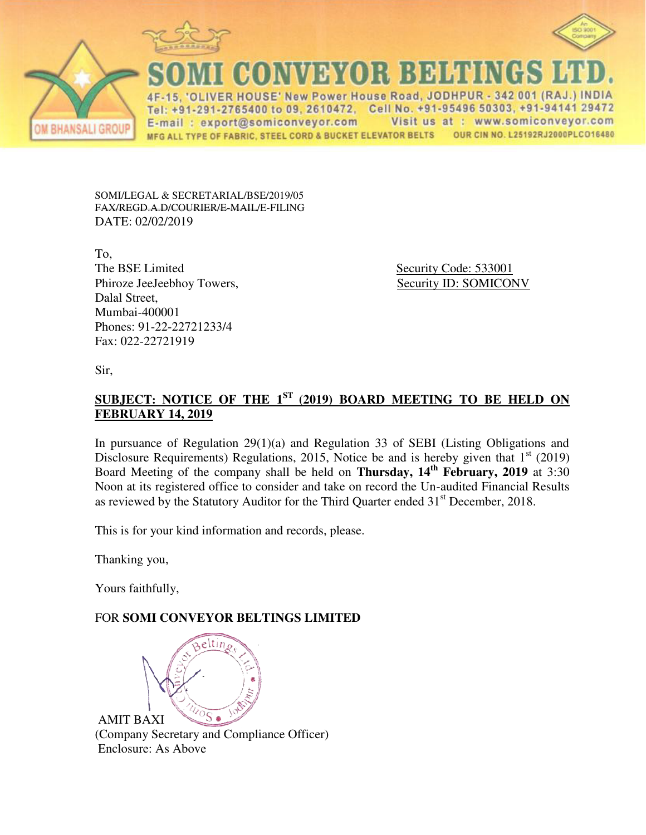



CONNEXOR BEHENCE

OLIVER HOUSE' New Power House Road, JODHPUR - 342 001 (RAJ.) INDIA Tel: +91-291-2765400 to 09, 2610472, Cell No. +91-95496 50303, +91-94141 29472 E-mail: export@somiconveyor.com Visit us at : www.somiconveyor.com MFG ALL TYPE OF FABRIC, STEEL CORD & BUCKET ELEVATOR BELTS OUR CIN NO. L25192RJ2000PLCO16480

SOMI/LEGAL & SECRETARIAL/BSE/2019/05 FAX/REGD.A.D/COURIER/E-MAIL/E-FILING DATE: 02/02/2019

To, The BSE Limited Security Code: 533001 Phiroze JeeJeebhoy Towers, Security ID: SOMICONV Dalal Street, Mumbai-400001 Phones: 91-22-22721233/4 Fax: 022-22721919

Sir,

**BHANSALI GROUP** 

## **SUBJECT: NOTICE OF THE 1ST (2019) BOARD MEETING TO BE HELD ON FEBRUARY 14, 2019**

In pursuance of Regulation 29(1)(a) and Regulation 33 of SEBI (Listing Obligations and Disclosure Requirements) Regulations, 2015, Notice be and is hereby given that  $1<sup>st</sup>$  (2019) Board Meeting of the company shall be held on **Thursday, 14th February, 2019** at 3:30 Noon at its registered office to consider and take on record the Un-audited Financial Results as reviewed by the Statutory Auditor for the Third Quarter ended  $31<sup>st</sup>$  December, 2018.

This is for your kind information and records, please.

Thanking you,

Yours faithfully,

## FOR **SOMI CONVEYOR BELTINGS LIMITED**



(Company Secretary and Compliance Officer) Enclosure: As Above